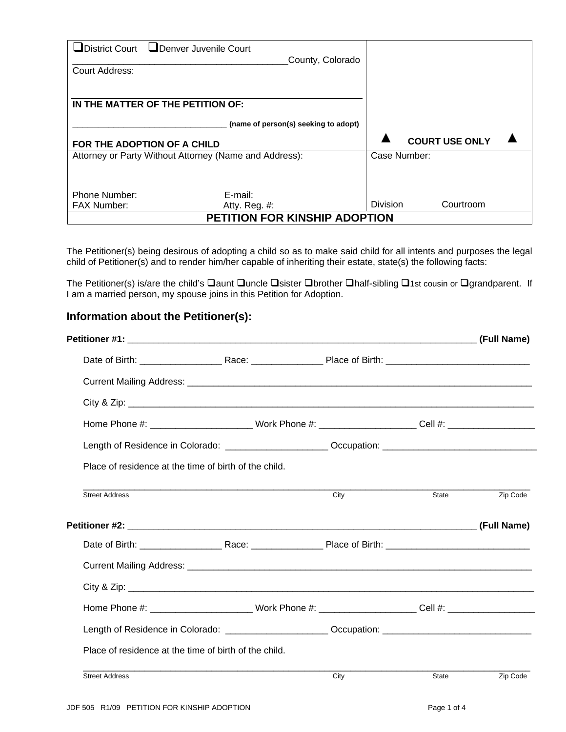| Court Address:                       | ■District Court LIDenver Juvenile Court                | County, Colorado |                 |                       |  |
|--------------------------------------|--------------------------------------------------------|------------------|-----------------|-----------------------|--|
|                                      | IN THE MATTER OF THE PETITION OF:                      |                  |                 |                       |  |
| (name of person(s) seeking to adopt) |                                                        |                  |                 |                       |  |
|                                      | FOR THE ADOPTION OF A CHILD                            |                  |                 | <b>COURT USE ONLY</b> |  |
|                                      | Attorney or Party Without Attorney (Name and Address): |                  | Case Number:    |                       |  |
| <b>Phone Number:</b>                 | E-mail:                                                |                  |                 |                       |  |
| <b>FAX Number:</b>                   | Atty. Reg. $#$ :                                       |                  | <b>Division</b> | Courtroom             |  |
| <b>PETITION FOR KINSHIP ADOPTION</b> |                                                        |                  |                 |                       |  |

The Petitioner(s) being desirous of adopting a child so as to make said child for all intents and purposes the legal child of Petitioner(s) and to render him/her capable of inheriting their estate, state(s) the following facts:

The Petitioner(s) is/are the child's  $\square$ aunt  $\square$ uncle  $\square$ sister  $\square$ brother  $\square$ half-sibling  $\square$ 1st cousin or  $\square$ grandparent. If I am a married person, my spouse joins in this Petition for Adoption.

## **Information about the Petitioner(s):**

|                       |                                                                                                               |      |       | (Full Name) |
|-----------------------|---------------------------------------------------------------------------------------------------------------|------|-------|-------------|
|                       |                                                                                                               |      |       |             |
|                       |                                                                                                               |      |       |             |
|                       |                                                                                                               |      |       |             |
|                       | Home Phone #: _________________________Work Phone #: ______________________Cell #: __________________________ |      |       |             |
|                       | Length of Residence in Colorado: ________________________Occupation: _______________________________          |      |       |             |
|                       | Place of residence at the time of birth of the child.                                                         |      |       |             |
| <b>Street Address</b> |                                                                                                               | City | State | Zip Code    |
|                       |                                                                                                               |      |       |             |
|                       |                                                                                                               |      |       |             |
|                       |                                                                                                               |      |       |             |
|                       |                                                                                                               |      |       |             |
|                       | Home Phone #: _____________________________Work Phone #: _______________________Cell #: _____________________ |      |       |             |
|                       | Length of Residence in Colorado: ________________________Occupation: _______________________________          |      |       |             |
|                       | Place of residence at the time of birth of the child.                                                         |      |       |             |
| <b>Street Address</b> |                                                                                                               | City | State | Zip Code    |
|                       |                                                                                                               |      |       |             |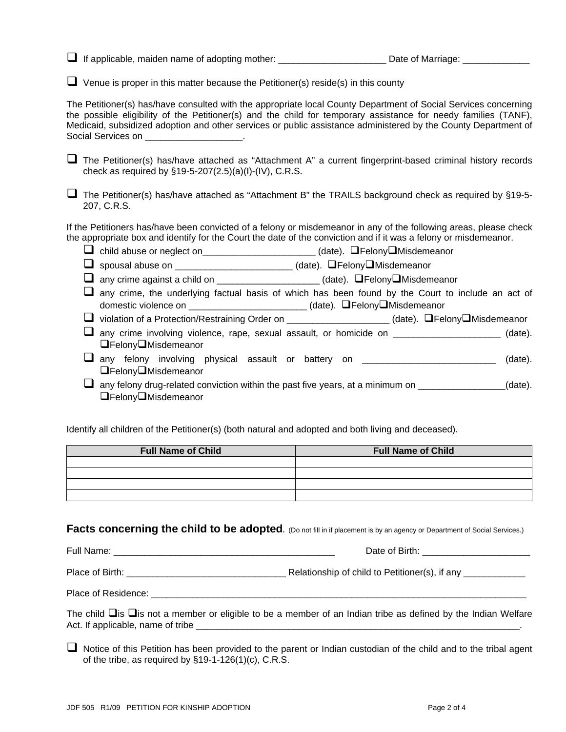If applicable, maiden name of adopting mother: \_\_\_\_\_\_\_\_\_\_\_\_\_\_\_\_\_\_\_\_\_ Date of Marriage: \_\_\_\_\_\_\_\_\_\_\_\_\_

 $\Box$  Venue is proper in this matter because the Petitioner(s) reside(s) in this county

The Petitioner(s) has/have consulted with the appropriate local County Department of Social Services concerning the possible eligibility of the Petitioner(s) and the child for temporary assistance for needy families (TANF), Medicaid, subsidized adoption and other services or public assistance administered by the County Department of Social Services on **Exercise Social Services** on

 $\Box$  The Petitioner(s) has/have attached as "Attachment A" a current fingerprint-based criminal history records check as required by §19-5-207(2.5)(a)(I)-(IV), C.R.S.

 $\Box$  The Petitioner(s) has/have attached as "Attachment B" the TRAILS background check as required by §19-5-207, C.R.S.

If the Petitioners has/have been convicted of a felony or misdemeanor in any of the following areas, please check the appropriate box and identify for the Court the date of the conviction and if it was a felony or misdemeanor.

□ child abuse or neglect on\_\_\_\_\_\_\_\_\_\_\_\_\_\_\_\_\_\_\_\_\_\_\_\_ (date). □Felony□Misdemeanor

spousal abuse on \_\_\_\_\_\_\_\_\_\_\_\_\_\_\_\_\_\_\_\_\_\_\_ (date). FelonyMisdemeanor

 $\Box$  any crime against a child on \_\_\_\_\_\_\_\_\_\_\_\_\_\_\_\_\_\_\_\_\_\_(date).  $\Box$  Felony $\Box$ Misdemeanor

 $\Box$  any crime, the underlying factual basis of which has been found by the Court to include an act of domestic violence on \_\_\_\_\_\_\_\_\_\_\_\_\_\_\_\_\_\_\_\_\_\_\_\_\_(date). □Felony❑Misdemeanor

 $\Box$  violation of a Protection/Restraining Order on  $\Box$  (date).  $\Box$  Felony $\Box$ Misdemeanor

 any crime involving violence, rape, sexual assault, or homicide on \_\_\_\_\_\_\_\_\_\_\_\_\_\_\_\_\_\_\_\_\_ (date). FelonyMisdemeanor

**any** felony involving physical assault or battery on \_\_\_\_\_\_\_\_\_\_\_\_\_\_\_\_\_\_\_\_\_\_\_\_\_\_\_ (date). **□FelonyO**Misdemeanor

 $\Box$  any felony drug-related conviction within the past five years, at a minimum on  $\Box$  (date). **□FelonyO**Misdemeanor

Identify all children of the Petitioner(s) (both natural and adopted and both living and deceased).

| <b>Full Name of Child</b> | <b>Full Name of Child</b> |
|---------------------------|---------------------------|
|                           |                           |
|                           |                           |
|                           |                           |
|                           |                           |

**Facts concerning the child to be adopted.** (Do not fill in if placement is by an agency or Department of Social Services.)

Full Name: \_\_\_\_\_\_\_\_\_\_\_\_\_\_\_\_\_\_\_\_\_\_\_\_\_\_\_\_\_\_\_\_\_\_\_\_\_\_\_\_\_\_\_ Date of Birth: \_\_\_\_\_\_\_\_\_\_\_\_\_\_\_\_\_\_\_\_\_

Place of Birth: \_\_\_\_\_\_\_\_\_\_\_\_\_\_\_\_\_\_\_\_\_\_\_\_\_\_\_\_\_\_\_ Relationship of child to Petitioner(s), if any \_\_\_\_\_\_\_\_\_\_\_\_

Place of Residence:  $\blacksquare$ 

The child  $\Box$  is  $\Box$  is not a member or eligible to be a member of an Indian tribe as defined by the Indian Welfare Act. If applicable, name of tribe \_\_\_\_\_\_\_\_\_\_\_\_\_\_\_\_\_\_\_\_\_\_\_\_\_\_\_\_\_\_\_\_\_\_\_\_\_\_\_\_\_\_\_\_\_\_\_\_\_\_\_\_\_\_\_\_\_\_\_\_\_\_\_.

 $\Box$  Notice of this Petition has been provided to the parent or Indian custodian of the child and to the tribal agent of the tribe, as required by §19-1-126(1)(c), C.R.S.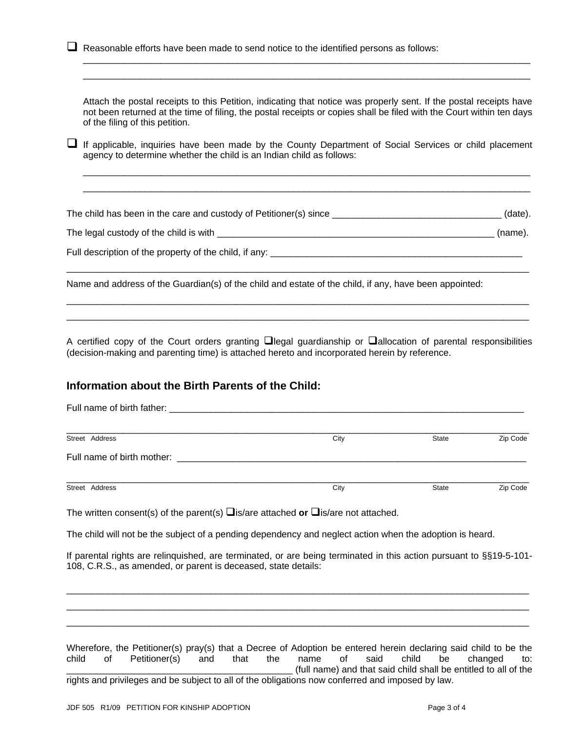|   | Reasonable efforts have been made to send notice to the identified persons as follows:                                                                                                                                                                                                                                                                                                                                                                          |      |       |          |  |  |
|---|-----------------------------------------------------------------------------------------------------------------------------------------------------------------------------------------------------------------------------------------------------------------------------------------------------------------------------------------------------------------------------------------------------------------------------------------------------------------|------|-------|----------|--|--|
| u | Attach the postal receipts to this Petition, indicating that notice was properly sent. If the postal receipts have<br>not been returned at the time of filing, the postal receipts or copies shall be filed with the Court within ten days<br>of the filing of this petition.<br>If applicable, inquiries have been made by the County Department of Social Services or child placement<br>agency to determine whether the child is an Indian child as follows: |      |       |          |  |  |
|   | The child has been in the care and custody of Petitioner(s) since __________________________________(date).                                                                                                                                                                                                                                                                                                                                                     |      |       |          |  |  |
|   |                                                                                                                                                                                                                                                                                                                                                                                                                                                                 |      |       | (name).  |  |  |
|   |                                                                                                                                                                                                                                                                                                                                                                                                                                                                 |      |       |          |  |  |
|   | Name and address of the Guardian(s) of the child and estate of the child, if any, have been appointed:                                                                                                                                                                                                                                                                                                                                                          |      |       |          |  |  |
|   | A certified copy of the Court orders granting $\Box$ legal guardianship or $\Box$ allocation of parental responsibilities<br>(decision-making and parenting time) is attached hereto and incorporated herein by reference.                                                                                                                                                                                                                                      |      |       |          |  |  |
|   | Information about the Birth Parents of the Child:                                                                                                                                                                                                                                                                                                                                                                                                               |      |       |          |  |  |
|   |                                                                                                                                                                                                                                                                                                                                                                                                                                                                 |      |       |          |  |  |
|   | Street Address                                                                                                                                                                                                                                                                                                                                                                                                                                                  | City | State | Zip Code |  |  |
|   | Full name of birth mother: <b>Example 20</b> Full name of birth mother:                                                                                                                                                                                                                                                                                                                                                                                         |      |       |          |  |  |
|   | Street Address                                                                                                                                                                                                                                                                                                                                                                                                                                                  | City | State | Zip Code |  |  |
|   | The written consent(s) of the parent(s) $\Box$ is/are attached or $\Box$ is/are not attached.                                                                                                                                                                                                                                                                                                                                                                   |      |       |          |  |  |
|   | The child will not be the subject of a pending dependency and neglect action when the adoption is heard.                                                                                                                                                                                                                                                                                                                                                        |      |       |          |  |  |
|   | If parental rights are relinquished, are terminated, or are being terminated in this action pursuant to §§19-5-101-<br>108, C.R.S., as amended, or parent is deceased, state details:                                                                                                                                                                                                                                                                           |      |       |          |  |  |
|   |                                                                                                                                                                                                                                                                                                                                                                                                                                                                 |      |       |          |  |  |

(full name) and that said child shall be entitled to all of the rights and privileges and be subject to all of the obligations now conferred and imposed by law. Wherefore, the Petitioner(s) pray(s) that a Decree of Adoption be entered herein declaring said child to be the child of Petitioner(s) and that the name of said child be changed to: \_\_\_\_\_\_\_\_\_\_\_\_\_\_\_\_\_\_\_\_\_\_\_\_\_\_\_\_\_\_\_\_\_\_\_\_\_\_\_\_\_\_\_\_

\_\_\_\_\_\_\_\_\_\_\_\_\_\_\_\_\_\_\_\_\_\_\_\_\_\_\_\_\_\_\_\_\_\_\_\_\_\_\_\_\_\_\_\_\_\_\_\_\_\_\_\_\_\_\_\_\_\_\_\_\_\_\_\_\_\_\_\_\_\_\_\_\_\_\_\_\_\_\_\_\_\_\_\_\_\_\_\_\_\_